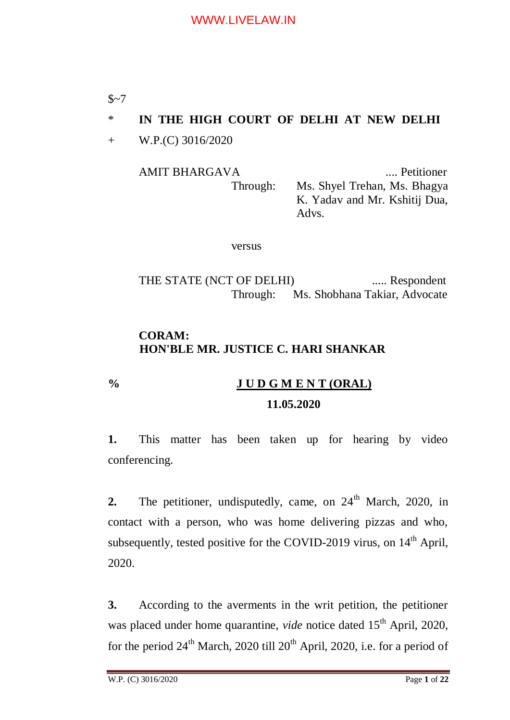$$~1$ 

# \* **IN THE HIGH COURT OF DELHI AT NEW DELHI**

+ W.P.(C) 3016/2020

AMIT BHARGAVA .... Petitioner Through: Ms. Shyel Trehan, Ms. Bhagya K. Yadav and Mr. Kshitij Dua, Advs.

versus

THE STATE (NCT OF DELHI) ...... Respondent Through: Ms. Shobhana Takiar, Advocate

# **CORAM: HON'BLE MR. JUSTICE C. HARI SHANKAR**

# **% J U D G M E N T (ORAL) 11.05.2020**

**1.** This matter has been taken up for hearing by video conferencing.

**2.** The petitioner, undisputedly, came, on 24<sup>th</sup> March, 2020, in contact with a person, who was home delivering pizzas and who, subsequently, tested positive for the COVID-2019 virus, on  $14<sup>th</sup>$  April, 2020.

**3.** According to the averments in the writ petition, the petitioner was placed under home quarantine, *vide* notice dated 15<sup>th</sup> April, 2020, for the period  $24<sup>th</sup>$  March, 2020 till  $20<sup>th</sup>$  April, 2020, i.e. for a period of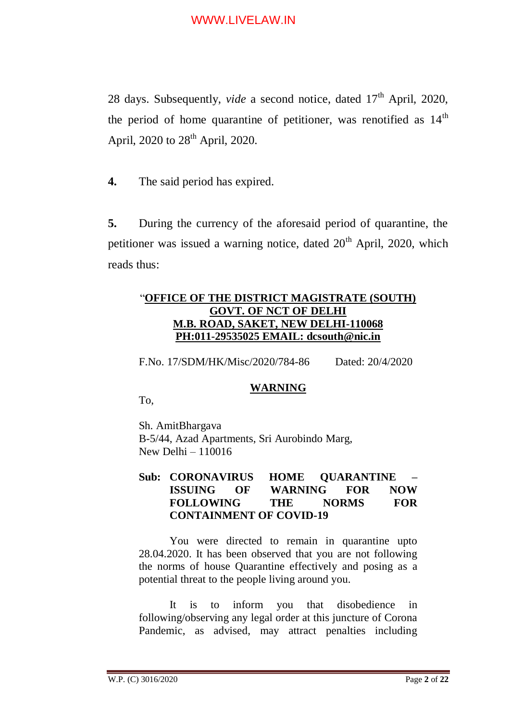28 days. Subsequently, *vide* a second notice, dated 17<sup>th</sup> April, 2020, the period of home quarantine of petitioner, was renotified as  $14<sup>th</sup>$ April, 2020 to  $28<sup>th</sup>$  April, 2020.

**4.** The said period has expired.

**5.** During the currency of the aforesaid period of quarantine, the petitioner was issued a warning notice, dated  $20<sup>th</sup>$  April, 2020, which reads thus:

### "**OFFICE OF THE DISTRICT MAGISTRATE (SOUTH) GOVT. OF NCT OF DELHI M.B. ROAD, SAKET, NEW DELHI-110068 PH:011-29535025 EMAIL: dcsouth@nic.in**

F.No. 17/SDM/HK/Misc/2020/784-86 Dated: 20/4/2020

### **WARNING**

To,

Sh. AmitBhargava B-5/44, Azad Apartments, Sri Aurobindo Marg, New Delhi – 110016

#### **Sub: CORONAVIRUS HOME QUARANTINE – ISSUING OF WARNING FOR NOW FOLLOWING THE NORMS FOR CONTAINMENT OF COVID-19**

You were directed to remain in quarantine upto 28.04.2020. It has been observed that you are not following the norms of house Quarantine effectively and posing as a potential threat to the people living around you.

It is to inform you that disobedience in following/observing any legal order at this juncture of Corona Pandemic, as advised, may attract penalties including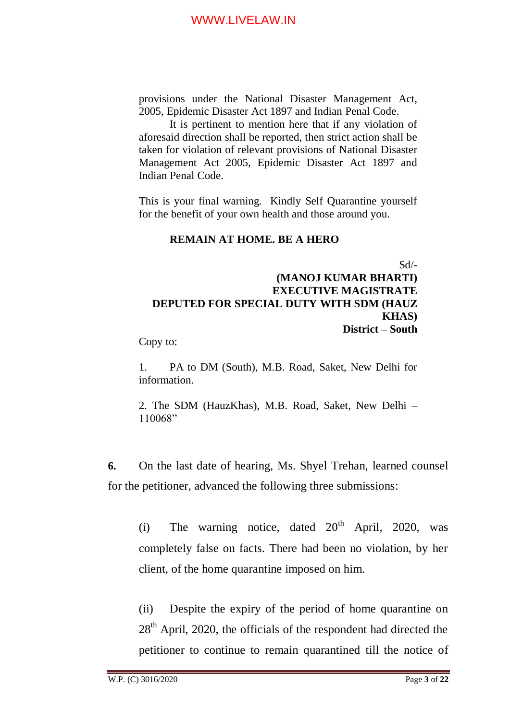provisions under the National Disaster Management Act, 2005, Epidemic Disaster Act 1897 and Indian Penal Code.

It is pertinent to mention here that if any violation of aforesaid direction shall be reported, then strict action shall be taken for violation of relevant provisions of National Disaster Management Act 2005, Epidemic Disaster Act 1897 and Indian Penal Code.

This is your final warning. Kindly Self Quarantine yourself for the benefit of your own health and those around you.

#### **REMAIN AT HOME. BE A HERO**

Sd/-

### **(MANOJ KUMAR BHARTI) EXECUTIVE MAGISTRATE DEPUTED FOR SPECIAL DUTY WITH SDM (HAUZ KHAS) District – South**

Copy to:

1. PA to DM (South), M.B. Road, Saket, New Delhi for information.

2. The SDM (HauzKhas), M.B. Road, Saket, New Delhi – 110068"

**6.** On the last date of hearing, Ms. Shyel Trehan, learned counsel for the petitioner, advanced the following three submissions:

(i) The warning notice, dated  $20<sup>th</sup>$  April, 2020, was completely false on facts. There had been no violation, by her client, of the home quarantine imposed on him.

(ii) Despite the expiry of the period of home quarantine on 28<sup>th</sup> April, 2020, the officials of the respondent had directed the petitioner to continue to remain quarantined till the notice of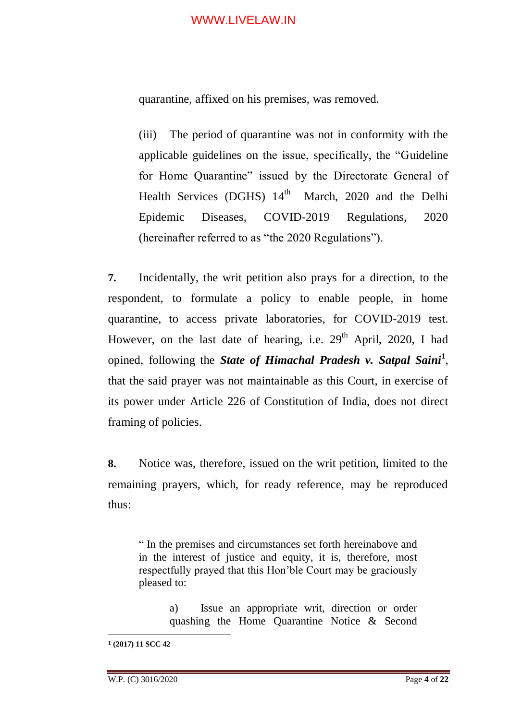quarantine, affixed on his premises, was removed.

(iii) The period of quarantine was not in conformity with the applicable guidelines on the issue, specifically, the "Guideline for Home Quarantine" issued by the Directorate General of Health Services (DGHS)  $14<sup>th</sup>$ March, 2020 and the Delhi Epidemic Diseases, COVID-2019 Regulations, 2020 (hereinafter referred to as "the 2020 Regulations").

**7.** Incidentally, the writ petition also prays for a direction, to the respondent, to formulate a policy to enable people, in home quarantine, to access private laboratories, for COVID-2019 test. However, on the last date of hearing, i.e.  $29<sup>th</sup>$  April, 2020, I had opined, following the *State of Himachal Pradesh v. Satpal Saini***<sup>1</sup>** , that the said prayer was not maintainable as this Court, in exercise of its power under Article 226 of Constitution of India, does not direct framing of policies.

**8.** Notice was, therefore, issued on the writ petition, limited to the remaining prayers, which, for ready reference, may be reproduced thus:

" In the premises and circumstances set forth hereinabove and in the interest of justice and equity, it is, therefore, most respectfully prayed that this Hon'ble Court may be graciously pleased to:

> a) Issue an appropriate writ, direction or order quashing the Home Quarantine Notice & Second

<u>.</u>

**<sup>1</sup> (2017) 11 SCC 42**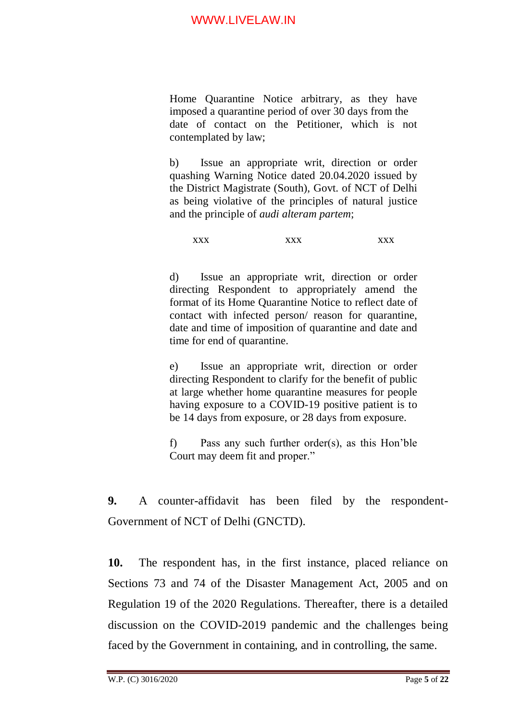Home Quarantine Notice arbitrary, as they have imposed a quarantine period of over 30 days from the date of contact on the Petitioner, which is not contemplated by law;

b) Issue an appropriate writ, direction or order quashing Warning Notice dated 20.04.2020 issued by the District Magistrate (South), Govt. of NCT of Delhi as being violative of the principles of natural justice and the principle of *audi alteram partem*;

xxx xxx xxx

d) Issue an appropriate writ, direction or order directing Respondent to appropriately amend the format of its Home Quarantine Notice to reflect date of contact with infected person/ reason for quarantine, date and time of imposition of quarantine and date and time for end of quarantine.

e) Issue an appropriate writ, direction or order directing Respondent to clarify for the benefit of public at large whether home quarantine measures for people having exposure to a COVID-19 positive patient is to be 14 days from exposure, or 28 days from exposure.

f) Pass any such further order(s), as this Hon'ble Court may deem fit and proper."

**9.** A counter-affidavit has been filed by the respondent-Government of NCT of Delhi (GNCTD).

**10.** The respondent has, in the first instance, placed reliance on Sections 73 and 74 of the Disaster Management Act, 2005 and on Regulation 19 of the 2020 Regulations. Thereafter, there is a detailed discussion on the COVID-2019 pandemic and the challenges being faced by the Government in containing, and in controlling, the same.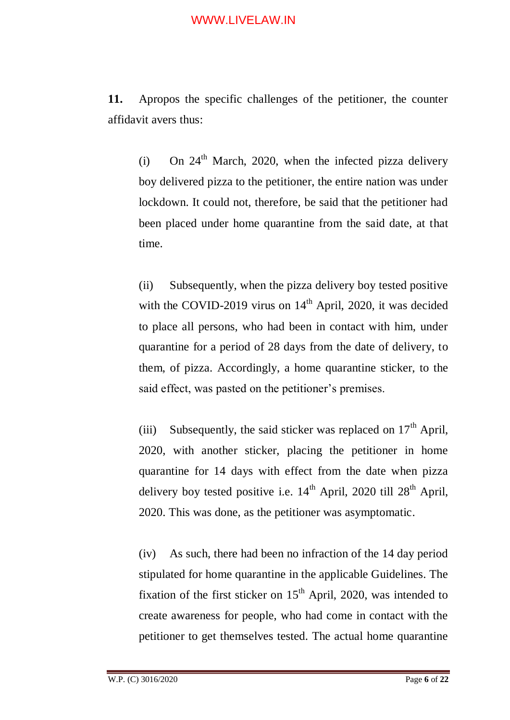**11.** Apropos the specific challenges of the petitioner, the counter affidavit avers thus:

(i) On  $24<sup>th</sup>$  March, 2020, when the infected pizza delivery boy delivered pizza to the petitioner, the entire nation was under lockdown. It could not, therefore, be said that the petitioner had been placed under home quarantine from the said date, at that time.

(ii) Subsequently, when the pizza delivery boy tested positive with the COVID-2019 virus on  $14<sup>th</sup>$  April, 2020, it was decided to place all persons, who had been in contact with him, under quarantine for a period of 28 days from the date of delivery, to them, of pizza. Accordingly, a home quarantine sticker, to the said effect, was pasted on the petitioner's premises.

(iii) Subsequently, the said sticker was replaced on  $17<sup>th</sup>$  April, 2020, with another sticker, placing the petitioner in home quarantine for 14 days with effect from the date when pizza delivery boy tested positive i.e.  $14<sup>th</sup>$  April, 2020 till  $28<sup>th</sup>$  April, 2020. This was done, as the petitioner was asymptomatic.

(iv) As such, there had been no infraction of the 14 day period stipulated for home quarantine in the applicable Guidelines. The fixation of the first sticker on  $15<sup>th</sup>$  April, 2020, was intended to create awareness for people, who had come in contact with the petitioner to get themselves tested. The actual home quarantine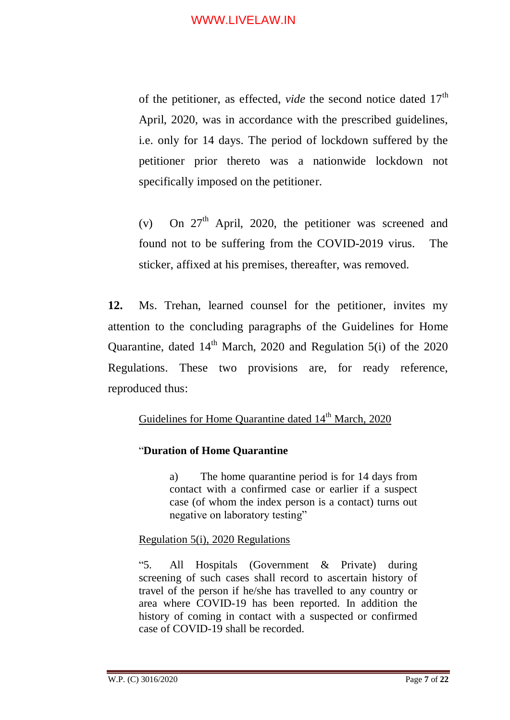of the petitioner, as effected, *vide* the second notice dated 17<sup>th</sup> April, 2020, was in accordance with the prescribed guidelines, i.e. only for 14 days. The period of lockdown suffered by the petitioner prior thereto was a nationwide lockdown not specifically imposed on the petitioner.

(v) On  $27<sup>th</sup>$  April, 2020, the petitioner was screened and found not to be suffering from the COVID-2019 virus. The sticker, affixed at his premises, thereafter, was removed.

**12.** Ms. Trehan, learned counsel for the petitioner, invites my attention to the concluding paragraphs of the Guidelines for Home Quarantine, dated  $14<sup>th</sup>$  March, 2020 and Regulation 5(i) of the 2020 Regulations. These two provisions are, for ready reference, reproduced thus:

### Guidelines for Home Ouarantine dated 14<sup>th</sup> March, 2020

### "**Duration of Home Quarantine**

a) The home quarantine period is for 14 days from contact with a confirmed case or earlier if a suspect case (of whom the index person is a contact) turns out negative on laboratory testing"

### Regulation 5(i), 2020 Regulations

"5. All Hospitals (Government & Private) during screening of such cases shall record to ascertain history of travel of the person if he/she has travelled to any country or area where COVID-19 has been reported. In addition the history of coming in contact with a suspected or confirmed case of COVID-19 shall be recorded.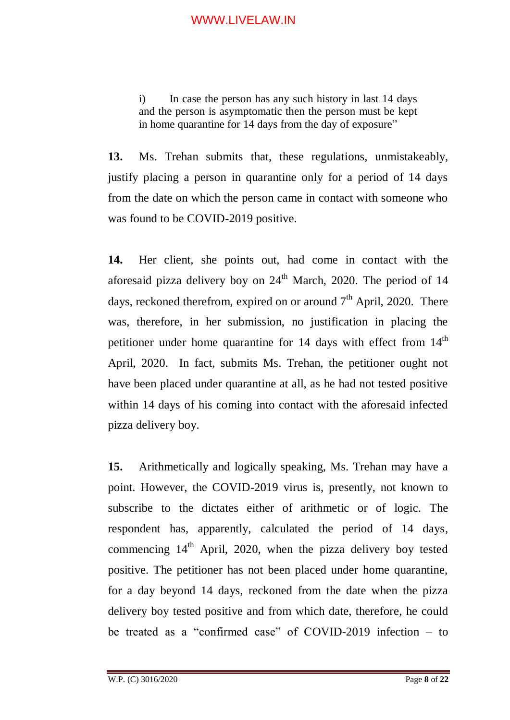i) In case the person has any such history in last 14 days and the person is asymptomatic then the person must be kept in home quarantine for 14 days from the day of exposure"

**13.** Ms. Trehan submits that, these regulations, unmistakeably, justify placing a person in quarantine only for a period of 14 days from the date on which the person came in contact with someone who was found to be COVID-2019 positive.

**14.** Her client, she points out, had come in contact with the aforesaid pizza delivery boy on  $24<sup>th</sup>$  March, 2020. The period of 14 days, reckoned therefrom, expired on or around  $7<sup>th</sup>$  April, 2020. There was, therefore, in her submission, no justification in placing the petitioner under home quarantine for  $14$  days with effect from  $14<sup>th</sup>$ April, 2020. In fact, submits Ms. Trehan, the petitioner ought not have been placed under quarantine at all, as he had not tested positive within 14 days of his coming into contact with the aforesaid infected pizza delivery boy.

**15.** Arithmetically and logically speaking, Ms. Trehan may have a point. However, the COVID-2019 virus is, presently, not known to subscribe to the dictates either of arithmetic or of logic. The respondent has, apparently, calculated the period of 14 days, commencing  $14<sup>th</sup>$  April, 2020, when the pizza delivery boy tested positive. The petitioner has not been placed under home quarantine, for a day beyond 14 days, reckoned from the date when the pizza delivery boy tested positive and from which date, therefore, he could be treated as a "confirmed case" of COVID-2019 infection – to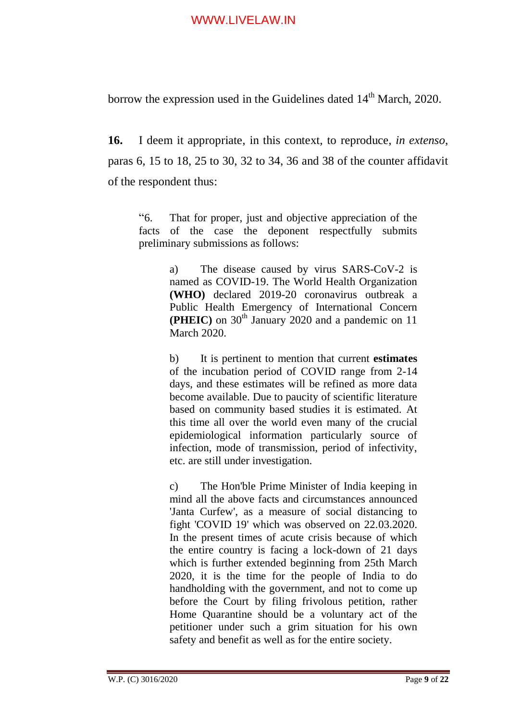borrow the expression used in the Guidelines dated  $14<sup>th</sup>$  March, 2020.

**16.** I deem it appropriate, in this context, to reproduce, *in extenso*, paras 6, 15 to 18, 25 to 30, 32 to 34, 36 and 38 of the counter affidavit of the respondent thus:

"6. That for proper, just and objective appreciation of the facts of the case the deponent respectfully submits preliminary submissions as follows:

> a) The disease caused by virus SARS-CoV-2 is named as COVID-19. The World Health Organization **(WHO)** declared 2019-20 coronavirus outbreak a Public Health Emergency of International Concern **(PHEIC)** on 30<sup>th</sup> January 2020 and a pandemic on 11 March 2020.

> b) It is pertinent to mention that current **estimates** of the incubation period of COVID range from 2-14 days, and these estimates will be refined as more data become available. Due to paucity of scientific literature based on community based studies it is estimated. At this time all over the world even many of the crucial epidemiological information particularly source of infection, mode of transmission, period of infectivity, etc. are still under investigation.

> c) The Hon'ble Prime Minister of India keeping in mind all the above facts and circumstances announced 'Janta Curfew', as a measure of social distancing to fight 'COVID 19' which was observed on 22.03.2020. In the present times of acute crisis because of which the entire country is facing a lock-down of 21 days which is further extended beginning from 25th March 2020, it is the time for the people of India to do handholding with the government, and not to come up before the Court by filing frivolous petition, rather Home Quarantine should be a voluntary act of the petitioner under such a grim situation for his own safety and benefit as well as for the entire society.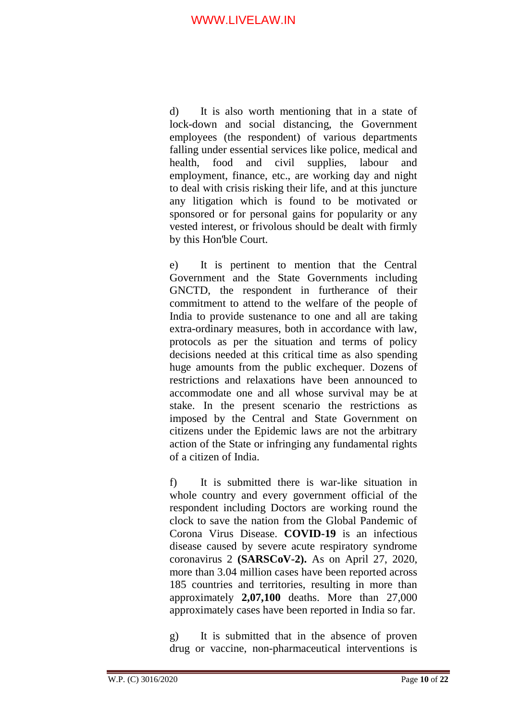d) It is also worth mentioning that in a state of lock-down and social distancing, the Government employees (the respondent) of various departments falling under essential services like police, medical and health, food and civil supplies, labour and employment, finance, etc., are working day and night to deal with crisis risking their life, and at this juncture any litigation which is found to be motivated or sponsored or for personal gains for popularity or any vested interest, or frivolous should be dealt with firmly by this Hon'ble Court.

e) It is pertinent to mention that the Central Government and the State Governments including GNCTD, the respondent in furtherance of their commitment to attend to the welfare of the people of India to provide sustenance to one and all are taking extra-ordinary measures, both in accordance with law, protocols as per the situation and terms of policy decisions needed at this critical time as also spending huge amounts from the public exchequer. Dozens of restrictions and relaxations have been announced to accommodate one and all whose survival may be at stake. In the present scenario the restrictions as imposed by the Central and State Government on citizens under the Epidemic laws are not the arbitrary action of the State or infringing any fundamental rights of a citizen of India.

f) It is submitted there is war-like situation in whole country and every government official of the respondent including Doctors are working round the clock to save the nation from the Global Pandemic of Corona Virus Disease. **COVID-19** is an infectious disease caused by severe acute respiratory syndrome coronavirus 2 **(SARSCoV-2).** As on April 27, 2020, more than 3.04 million cases have been reported across 185 countries and territories, resulting in more than approximately **2,07,100** deaths. More than 27,000 approximately cases have been reported in India so far.

g) It is submitted that in the absence of proven drug or vaccine, non-pharmaceutical interventions is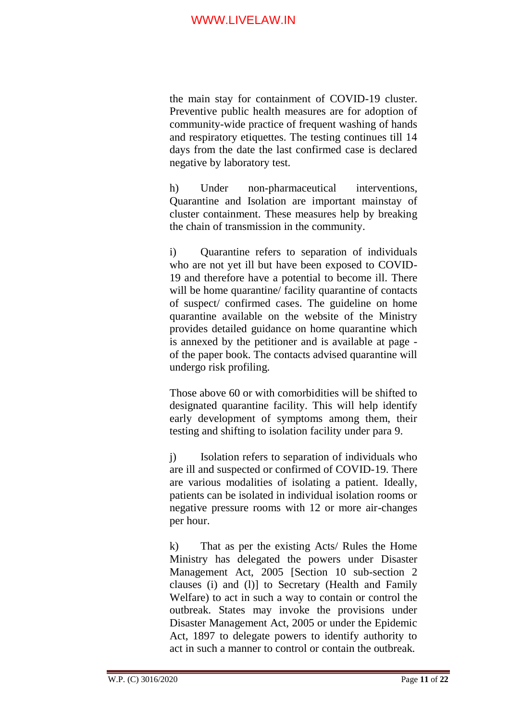the main stay for containment of COVID-19 cluster. Preventive public health measures are for adoption of community-wide practice of frequent washing of hands and respiratory etiquettes. The testing continues till 14 days from the date the last confirmed case is declared negative by laboratory test.

h) Under non-pharmaceutical interventions, Quarantine and Isolation are important mainstay of cluster containment. These measures help by breaking the chain of transmission in the community.

i) Quarantine refers to separation of individuals who are not yet ill but have been exposed to COVID-19 and therefore have a potential to become ill. There will be home quarantine/ facility quarantine of contacts of suspect/ confirmed cases. The guideline on home quarantine available on the website of the Ministry provides detailed guidance on home quarantine which is annexed by the petitioner and is available at page of the paper book. The contacts advised quarantine will undergo risk profiling.

Those above 60 or with comorbidities will be shifted to designated quarantine facility. This will help identify early development of symptoms among them, their testing and shifting to isolation facility under para 9.

j) Isolation refers to separation of individuals who are ill and suspected or confirmed of COVID-19. There are various modalities of isolating a patient. Ideally, patients can be isolated in individual isolation rooms or negative pressure rooms with 12 or more air-changes per hour.

k) That as per the existing Acts/ Rules the Home Ministry has delegated the powers under Disaster Management Act, 2005 [Section 10 sub-section 2 clauses (i) and (l)] to Secretary (Health and Family Welfare) to act in such a way to contain or control the outbreak. States may invoke the provisions under Disaster Management Act, 2005 or under the Epidemic Act, 1897 to delegate powers to identify authority to act in such a manner to control or contain the outbreak.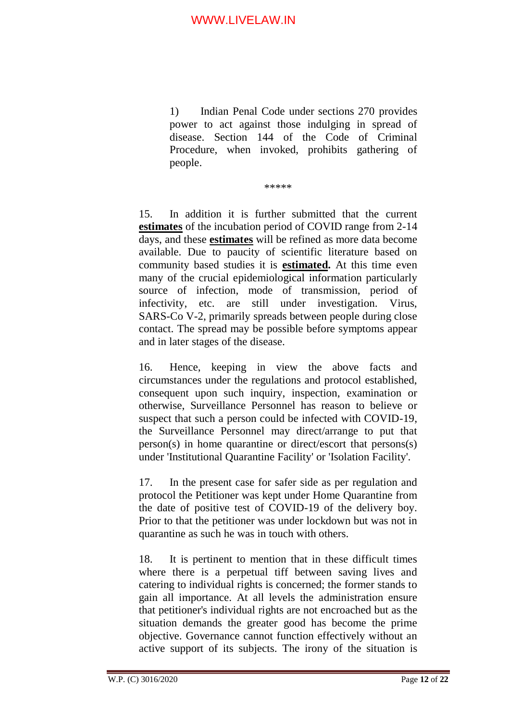1) Indian Penal Code under sections 270 provides power to act against those indulging in spread of disease. Section 144 of the Code of Criminal Procedure, when invoked, prohibits gathering of people.

\*\*\*\*\*

15. In addition it is further submitted that the current **estimates** of the incubation period of COVID range from 2-14 days, and these **estimates** will be refined as more data become available. Due to paucity of scientific literature based on community based studies it is **estimated.** At this time even many of the crucial epidemiological information particularly source of infection, mode of transmission, period of infectivity, etc. are still under investigation. Virus, SARS-Co V-2, primarily spreads between people during close contact. The spread may be possible before symptoms appear and in later stages of the disease.

16. Hence, keeping in view the above facts and circumstances under the regulations and protocol established, consequent upon such inquiry, inspection, examination or otherwise, Surveillance Personnel has reason to believe or suspect that such a person could be infected with COVID-19, the Surveillance Personnel may direct/arrange to put that person(s) in home quarantine or direct/escort that persons(s) under 'Institutional Quarantine Facility' or 'Isolation Facility'.

17. In the present case for safer side as per regulation and protocol the Petitioner was kept under Home Quarantine from the date of positive test of COVID-19 of the delivery boy. Prior to that the petitioner was under lockdown but was not in quarantine as such he was in touch with others.

18. It is pertinent to mention that in these difficult times where there is a perpetual tiff between saving lives and catering to individual rights is concerned; the former stands to gain all importance. At all levels the administration ensure that petitioner's individual rights are not encroached but as the situation demands the greater good has become the prime objective. Governance cannot function effectively without an active support of its subjects. The irony of the situation is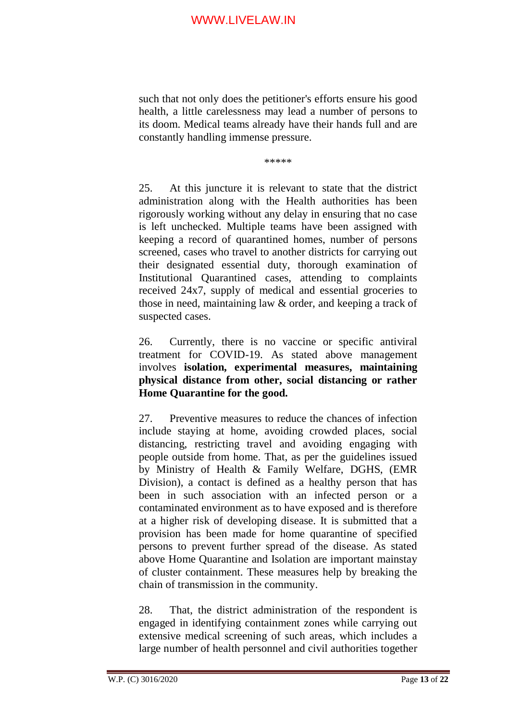such that not only does the petitioner's efforts ensure his good health, a little carelessness may lead a number of persons to its doom. Medical teams already have their hands full and are constantly handling immense pressure.

\*\*\*\*\*

25. At this juncture it is relevant to state that the district administration along with the Health authorities has been rigorously working without any delay in ensuring that no case is left unchecked. Multiple teams have been assigned with keeping a record of quarantined homes, number of persons screened, cases who travel to another districts for carrying out their designated essential duty, thorough examination of Institutional Quarantined cases, attending to complaints received 24x7, supply of medical and essential groceries to those in need, maintaining law & order, and keeping a track of suspected cases.

26. Currently, there is no vaccine or specific antiviral treatment for COVID-19. As stated above management involves **isolation, experimental measures, maintaining physical distance from other, social distancing or rather Home Quarantine for the good.** 

27. Preventive measures to reduce the chances of infection include staying at home, avoiding crowded places, social distancing, restricting travel and avoiding engaging with people outside from home. That, as per the guidelines issued by Ministry of Health & Family Welfare, DGHS, (EMR Division), a contact is defined as a healthy person that has been in such association with an infected person or a contaminated environment as to have exposed and is therefore at a higher risk of developing disease. It is submitted that a provision has been made for home quarantine of specified persons to prevent further spread of the disease. As stated above Home Quarantine and Isolation are important mainstay of cluster containment. These measures help by breaking the chain of transmission in the community.

28. That, the district administration of the respondent is engaged in identifying containment zones while carrying out extensive medical screening of such areas, which includes a large number of health personnel and civil authorities together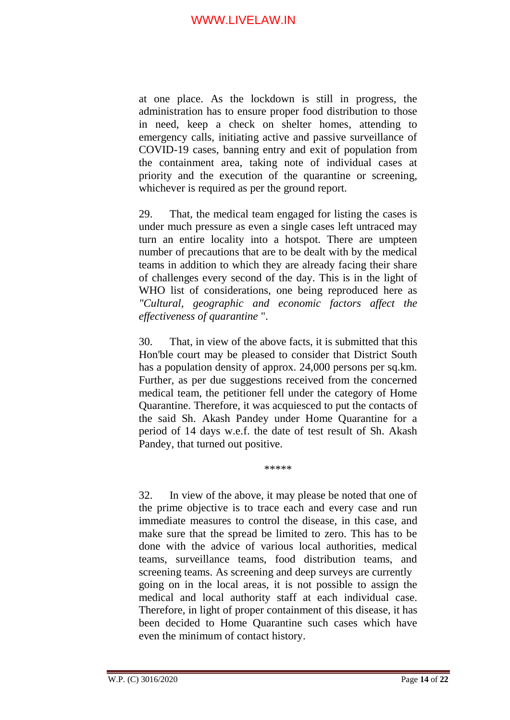at one place. As the lockdown is still in progress, the administration has to ensure proper food distribution to those in need, keep a check on shelter homes, attending to emergency calls, initiating active and passive surveillance of COVID-19 cases, banning entry and exit of population from the containment area, taking note of individual cases at priority and the execution of the quarantine or screening, whichever is required as per the ground report.

29. That, the medical team engaged for listing the cases is under much pressure as even a single cases left untraced may turn an entire locality into a hotspot. There are umpteen number of precautions that are to be dealt with by the medical teams in addition to which they are already facing their share of challenges every second of the day. This is in the light of WHO list of considerations, one being reproduced here as *"Cultural, geographic and economic factors affect the effectiveness of quarantine* ".

30. That, in view of the above facts, it is submitted that this Hon'ble court may be pleased to consider that District South has a population density of approx. 24,000 persons per sq.km. Further, as per due suggestions received from the concerned medical team, the petitioner fell under the category of Home Quarantine. Therefore, it was acquiesced to put the contacts of the said Sh. Akash Pandey under Home Quarantine for a period of 14 days w.e.f. the date of test result of Sh. Akash Pandey, that turned out positive.

\*\*\*\*\*

32. In view of the above, it may please be noted that one of the prime objective is to trace each and every case and run immediate measures to control the disease, in this case, and make sure that the spread be limited to zero. This has to be done with the advice of various local authorities, medical teams, surveillance teams, food distribution teams, and screening teams. As screening and deep surveys are currently going on in the local areas, it is not possible to assign the medical and local authority staff at each individual case. Therefore, in light of proper containment of this disease, it has been decided to Home Quarantine such cases which have even the minimum of contact history.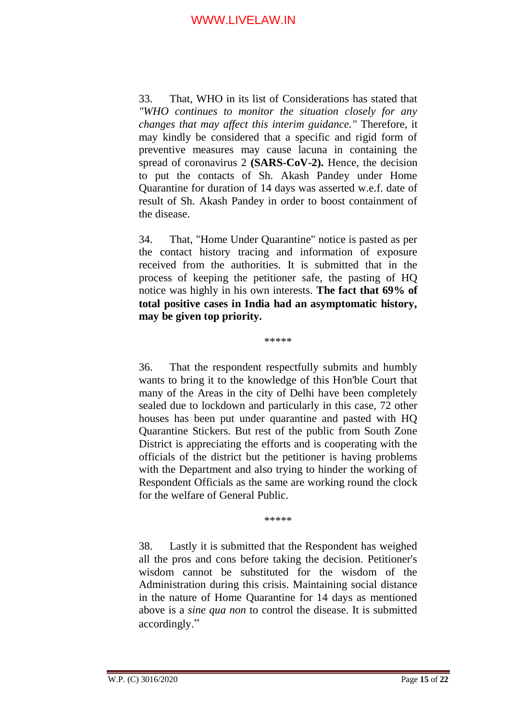33. That, WHO in its list of Considerations has stated that *"WHO continues to monitor the situation closely for any changes that may affect this interim guidance."* Therefore, it may kindly be considered that a specific and rigid form of preventive measures may cause lacuna in containing the spread of coronavirus 2 **(SARS-CoV-2).** Hence, the decision to put the contacts of Sh. Akash Pandey under Home Quarantine for duration of 14 days was asserted w.e.f. date of result of Sh. Akash Pandey in order to boost containment of the disease.

34. That, "Home Under Quarantine" notice is pasted as per the contact history tracing and information of exposure received from the authorities. It is submitted that in the process of keeping the petitioner safe, the pasting of HQ notice was highly in his own interests. **The fact that 69% of total positive cases in India had an asymptomatic history, may be given top priority.**

\*\*\*\*\*

36. That the respondent respectfully submits and humbly wants to bring it to the knowledge of this Hon'ble Court that many of the Areas in the city of Delhi have been completely sealed due to lockdown and particularly in this case, 72 other houses has been put under quarantine and pasted with HQ Quarantine Stickers. But rest of the public from South Zone District is appreciating the efforts and is cooperating with the officials of the district but the petitioner is having problems with the Department and also trying to hinder the working of Respondent Officials as the same are working round the clock for the welfare of General Public.

\*\*\*\*\*

38. Lastly it is submitted that the Respondent has weighed all the pros and cons before taking the decision. Petitioner's wisdom cannot be substituted for the wisdom of the Administration during this crisis. Maintaining social distance in the nature of Home Quarantine for 14 days as mentioned above is a *sine qua non* to control the disease. It is submitted accordingly."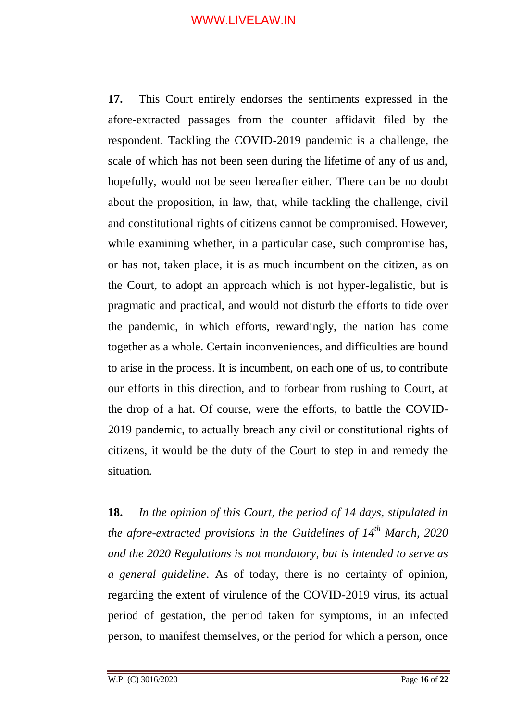**17.** This Court entirely endorses the sentiments expressed in the afore-extracted passages from the counter affidavit filed by the respondent. Tackling the COVID-2019 pandemic is a challenge, the scale of which has not been seen during the lifetime of any of us and, hopefully, would not be seen hereafter either. There can be no doubt about the proposition, in law, that, while tackling the challenge, civil and constitutional rights of citizens cannot be compromised. However, while examining whether, in a particular case, such compromise has, or has not, taken place, it is as much incumbent on the citizen, as on the Court, to adopt an approach which is not hyper-legalistic, but is pragmatic and practical, and would not disturb the efforts to tide over the pandemic, in which efforts, rewardingly, the nation has come together as a whole. Certain inconveniences, and difficulties are bound to arise in the process. It is incumbent, on each one of us, to contribute our efforts in this direction, and to forbear from rushing to Court, at the drop of a hat. Of course, were the efforts, to battle the COVID-2019 pandemic, to actually breach any civil or constitutional rights of citizens, it would be the duty of the Court to step in and remedy the situation.

**18.** *In the opinion of this Court, the period of 14 days, stipulated in the afore-extracted provisions in the Guidelines of 14th March, 2020 and the 2020 Regulations is not mandatory, but is intended to serve as a general guideline*. As of today, there is no certainty of opinion, regarding the extent of virulence of the COVID-2019 virus, its actual period of gestation, the period taken for symptoms, in an infected person, to manifest themselves, or the period for which a person, once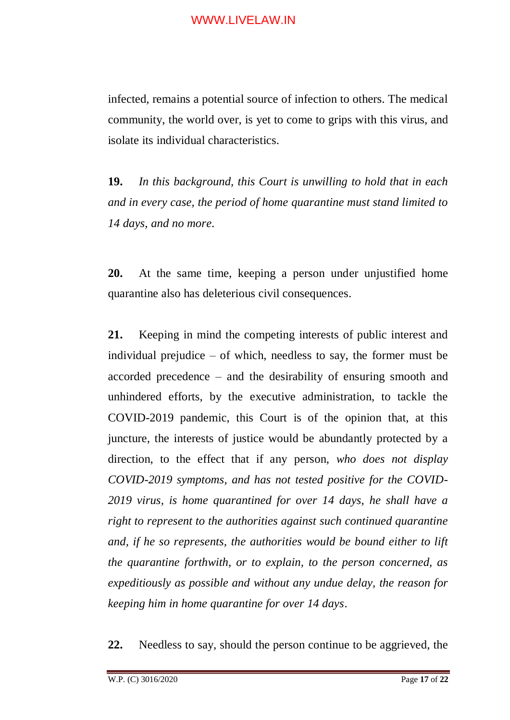infected, remains a potential source of infection to others. The medical community, the world over, is yet to come to grips with this virus, and isolate its individual characteristics.

**19.** *In this background, this Court is unwilling to hold that in each and in every case, the period of home quarantine must stand limited to 14 days, and no more*.

**20.** At the same time, keeping a person under unjustified home quarantine also has deleterious civil consequences.

**21.** Keeping in mind the competing interests of public interest and individual prejudice – of which, needless to say, the former must be accorded precedence – and the desirability of ensuring smooth and unhindered efforts, by the executive administration, to tackle the COVID-2019 pandemic, this Court is of the opinion that, at this juncture, the interests of justice would be abundantly protected by a direction, to the effect that if any person, *who does not display COVID-2019 symptoms, and has not tested positive for the COVID-2019 virus, is home quarantined for over 14 days, he shall have a right to represent to the authorities against such continued quarantine and, if he so represents, the authorities would be bound either to lift the quarantine forthwith, or to explain, to the person concerned, as expeditiously as possible and without any undue delay, the reason for keeping him in home quarantine for over 14 days*.

**22.** Needless to say, should the person continue to be aggrieved, the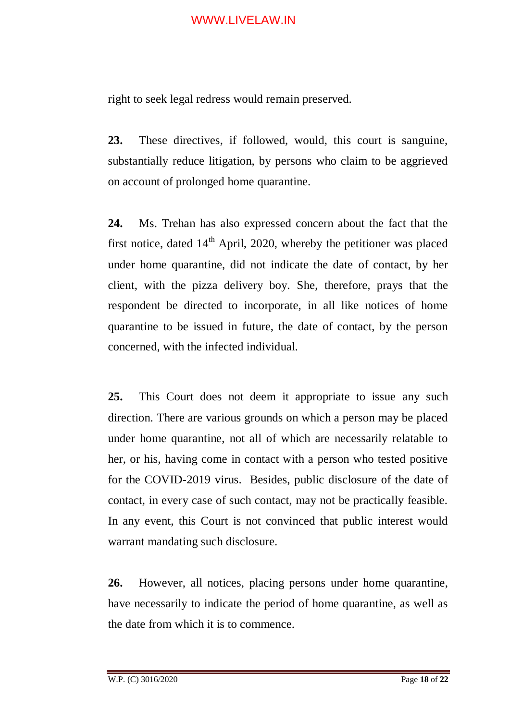right to seek legal redress would remain preserved.

**23.** These directives, if followed, would, this court is sanguine, substantially reduce litigation, by persons who claim to be aggrieved on account of prolonged home quarantine.

**24.** Ms. Trehan has also expressed concern about the fact that the first notice, dated  $14<sup>th</sup>$  April, 2020, whereby the petitioner was placed under home quarantine, did not indicate the date of contact, by her client, with the pizza delivery boy. She, therefore, prays that the respondent be directed to incorporate, in all like notices of home quarantine to be issued in future, the date of contact, by the person concerned, with the infected individual.

**25.** This Court does not deem it appropriate to issue any such direction. There are various grounds on which a person may be placed under home quarantine, not all of which are necessarily relatable to her, or his, having come in contact with a person who tested positive for the COVID-2019 virus. Besides, public disclosure of the date of contact, in every case of such contact, may not be practically feasible. In any event, this Court is not convinced that public interest would warrant mandating such disclosure.

**26.** However, all notices, placing persons under home quarantine, have necessarily to indicate the period of home quarantine, as well as the date from which it is to commence.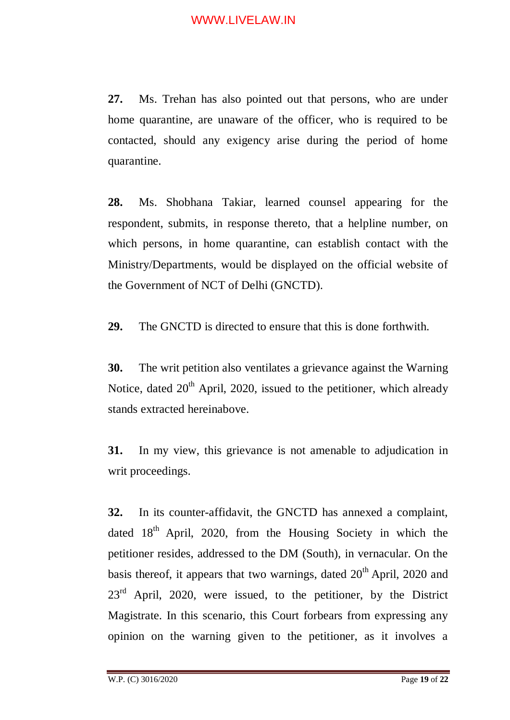**27.** Ms. Trehan has also pointed out that persons, who are under home quarantine, are unaware of the officer, who is required to be contacted, should any exigency arise during the period of home quarantine.

**28.** Ms. Shobhana Takiar, learned counsel appearing for the respondent, submits, in response thereto, that a helpline number, on which persons, in home quarantine, can establish contact with the Ministry/Departments, would be displayed on the official website of the Government of NCT of Delhi (GNCTD).

**29.** The GNCTD is directed to ensure that this is done forthwith.

**30.** The writ petition also ventilates a grievance against the Warning Notice, dated  $20<sup>th</sup>$  April, 2020, issued to the petitioner, which already stands extracted hereinabove.

**31.** In my view, this grievance is not amenable to adjudication in writ proceedings.

**32.** In its counter-affidavit, the GNCTD has annexed a complaint, dated 18<sup>th</sup> April, 2020, from the Housing Society in which the petitioner resides, addressed to the DM (South), in vernacular. On the basis thereof, it appears that two warnings, dated  $20<sup>th</sup>$  April, 2020 and  $23<sup>rd</sup>$  April, 2020, were issued, to the petitioner, by the District Magistrate. In this scenario, this Court forbears from expressing any opinion on the warning given to the petitioner, as it involves a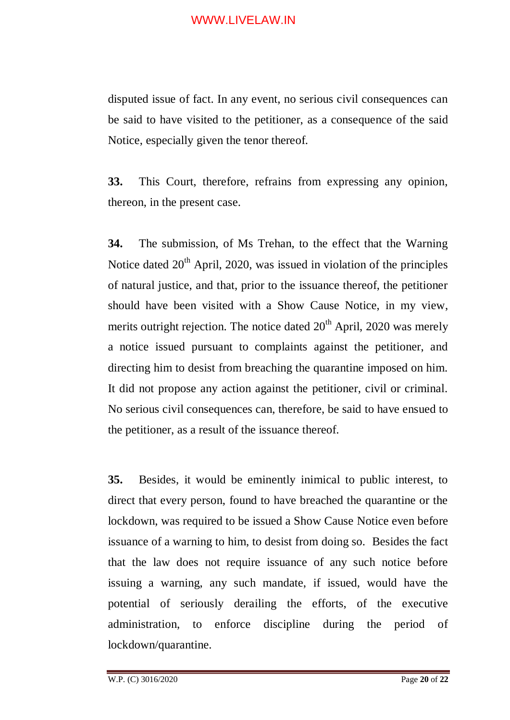disputed issue of fact. In any event, no serious civil consequences can be said to have visited to the petitioner, as a consequence of the said Notice, especially given the tenor thereof.

**33.** This Court, therefore, refrains from expressing any opinion, thereon, in the present case.

**34.** The submission, of Ms Trehan, to the effect that the Warning Notice dated  $20<sup>th</sup>$  April, 2020, was issued in violation of the principles of natural justice, and that, prior to the issuance thereof, the petitioner should have been visited with a Show Cause Notice, in my view, merits outright rejection. The notice dated  $20<sup>th</sup>$  April, 2020 was merely a notice issued pursuant to complaints against the petitioner, and directing him to desist from breaching the quarantine imposed on him. It did not propose any action against the petitioner, civil or criminal. No serious civil consequences can, therefore, be said to have ensued to the petitioner, as a result of the issuance thereof.

**35.** Besides, it would be eminently inimical to public interest, to direct that every person, found to have breached the quarantine or the lockdown, was required to be issued a Show Cause Notice even before issuance of a warning to him, to desist from doing so. Besides the fact that the law does not require issuance of any such notice before issuing a warning, any such mandate, if issued, would have the potential of seriously derailing the efforts, of the executive administration, to enforce discipline during the period of lockdown/quarantine.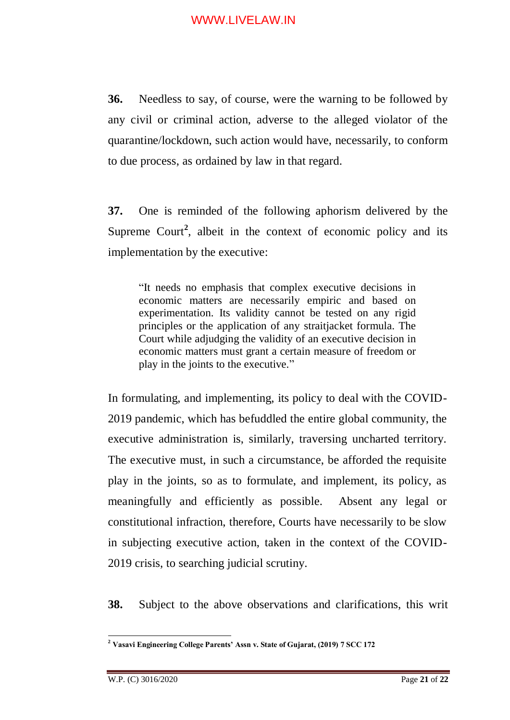**36.** Needless to say, of course, were the warning to be followed by any civil or criminal action, adverse to the alleged violator of the quarantine/lockdown, such action would have, necessarily, to conform to due process, as ordained by law in that regard.

**37.** One is reminded of the following aphorism delivered by the Supreme Court<sup>2</sup>, albeit in the context of economic policy and its implementation by the executive:

"It needs no emphasis that complex executive decisions in economic matters are necessarily empiric and based on experimentation. Its validity cannot be tested on any rigid principles or the application of any straitjacket formula. The Court while adjudging the validity of an executive decision in economic matters must grant a certain measure of freedom or play in the joints to the executive."

In formulating, and implementing, its policy to deal with the COVID-2019 pandemic, which has befuddled the entire global community, the executive administration is, similarly, traversing uncharted territory. The executive must, in such a circumstance, be afforded the requisite play in the joints, so as to formulate, and implement, its policy, as meaningfully and efficiently as possible. Absent any legal or constitutional infraction, therefore, Courts have necessarily to be slow in subjecting executive action, taken in the context of the COVID-2019 crisis, to searching judicial scrutiny.

**38.** Subject to the above observations and clarifications, this writ

<u>.</u>

**<sup>2</sup> Vasavi Engineering College Parents' Assn v. State of Gujarat, (2019) 7 SCC 172**